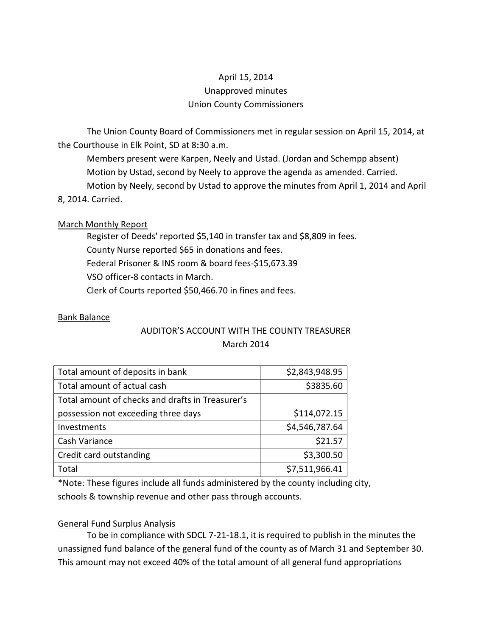# April 15, 2014 Unapproved minutes Union County Commissioners

The Union County Board of Commissioners met in regular session on April 15, 2014, at the Courthouse in Elk Point, SD at 8:30 a.m.

 Members present were Karpen, Neely and Ustad. (Jordan and Schempp absent) Motion by Ustad, second by Neely to approve the agenda as amended. Carried. Motion by Neely, second by Ustad to approve the minutes from April 1, 2014 and April 8, 2014. Carried.

## March Monthly Report

 Register of Deeds' reported \$5,140 in transfer tax and \$8,809 in fees. County Nurse reported \$65 in donations and fees. Federal Prisoner & INS room & board fees-\$15,673.39 VSO officer-8 contacts in March. Clerk of Courts reported \$50,466.70 in fines and fees.

## Bank Balance

## AUDITOR'S ACCOUNT WITH THE COUNTY TREASURER March 2014

| Total amount of deposits in bank                 | \$2,843,948.95 |
|--------------------------------------------------|----------------|
| Total amount of actual cash                      | \$3835.60      |
| Total amount of checks and drafts in Treasurer's |                |
| possession not exceeding three days              | \$114,072.15   |
| Investments                                      | \$4,546,787.64 |
| Cash Variance                                    | \$21.57        |
| Credit card outstanding                          | \$3,300.50     |
| Total                                            | \$7,511,966.41 |

\*Note: These figures include all funds administered by the county including city, schools & township revenue and other pass through accounts.

## General Fund Surplus Analysis

 To be in compliance with SDCL 7-21-18.1, it is required to publish in the minutes the unassigned fund balance of the general fund of the county as of March 31 and September 30. This amount may not exceed 40% of the total amount of all general fund appropriations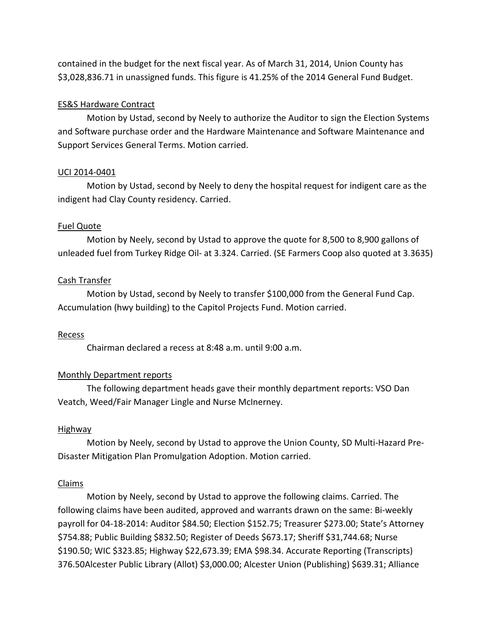contained in the budget for the next fiscal year. As of March 31, 2014, Union County has \$3,028,836.71 in unassigned funds. This figure is 41.25% of the 2014 General Fund Budget.

## ES&S Hardware Contract

 Motion by Ustad, second by Neely to authorize the Auditor to sign the Election Systems and Software purchase order and the Hardware Maintenance and Software Maintenance and Support Services General Terms. Motion carried.

### UCI 2014-0401

 Motion by Ustad, second by Neely to deny the hospital request for indigent care as the indigent had Clay County residency. Carried.

### Fuel Quote

 Motion by Neely, second by Ustad to approve the quote for 8,500 to 8,900 gallons of unleaded fuel from Turkey Ridge Oil- at 3.324. Carried. (SE Farmers Coop also quoted at 3.3635)

### Cash Transfer

 Motion by Ustad, second by Neely to transfer \$100,000 from the General Fund Cap. Accumulation (hwy building) to the Capitol Projects Fund. Motion carried.

#### Recess

Chairman declared a recess at 8:48 a.m. until 9:00 a.m.

## Monthly Department reports

 The following department heads gave their monthly department reports: VSO Dan Veatch, Weed/Fair Manager Lingle and Nurse McInerney.

#### Highway

 Motion by Neely, second by Ustad to approve the Union County, SD Multi-Hazard Pre-Disaster Mitigation Plan Promulgation Adoption. Motion carried.

#### Claims

 Motion by Neely, second by Ustad to approve the following claims. Carried. The following claims have been audited, approved and warrants drawn on the same: Bi-weekly payroll for 04-18-2014: Auditor \$84.50; Election \$152.75; Treasurer \$273.00; State's Attorney \$754.88; Public Building \$832.50; Register of Deeds \$673.17; Sheriff \$31,744.68; Nurse \$190.50; WIC \$323.85; Highway \$22,673.39; EMA \$98.34. Accurate Reporting (Transcripts) 376.50Alcester Public Library (Allot) \$3,000.00; Alcester Union (Publishing) \$639.31; Alliance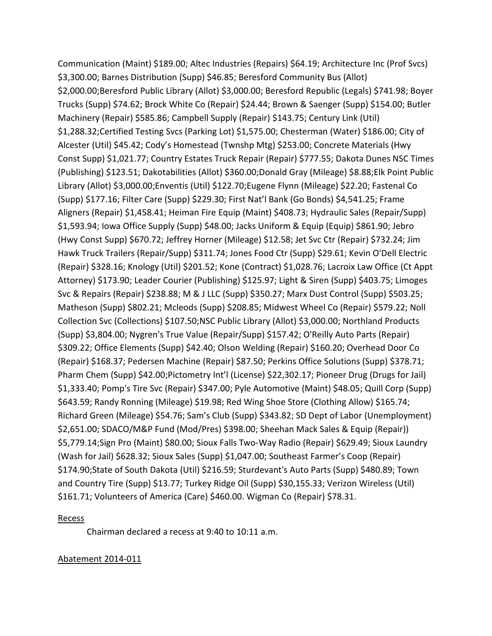Communication (Maint) \$189.00; Altec Industries (Repairs) \$64.19; Architecture Inc (Prof Svcs) \$3,300.00; Barnes Distribution (Supp) \$46.85; Beresford Community Bus (Allot) \$2,000.00;Beresford Public Library (Allot) \$3,000.00; Beresford Republic (Legals) \$741.98; Boyer Trucks (Supp) \$74.62; Brock White Co (Repair) \$24.44; Brown & Saenger (Supp) \$154.00; Butler Machinery (Repair) \$585.86; Campbell Supply (Repair) \$143.75; Century Link (Util) \$1,288.32;Certified Testing Svcs (Parking Lot) \$1,575.00; Chesterman (Water) \$186.00; City of Alcester (Util) \$45.42; Cody's Homestead (Twnshp Mtg) \$253.00; Concrete Materials (Hwy Const Supp) \$1,021.77; Country Estates Truck Repair (Repair) \$777.55; Dakota Dunes NSC Times (Publishing) \$123.51; Dakotabilities (Allot) \$360.00;Donald Gray (Mileage) \$8.88;Elk Point Public Library (Allot) \$3,000.00;Enventis (Util) \$122.70;Eugene Flynn (Mileage) \$22.20; Fastenal Co (Supp) \$177.16; Filter Care (Supp) \$229.30; First Nat'l Bank (Go Bonds) \$4,541.25; Frame Aligners (Repair) \$1,458.41; Heiman Fire Equip (Maint) \$408.73; Hydraulic Sales (Repair/Supp) \$1,593.94; Iowa Office Supply (Supp) \$48.00; Jacks Uniform & Equip (Equip) \$861.90; Jebro (Hwy Const Supp) \$670.72; Jeffrey Horner (Mileage) \$12.58; Jet Svc Ctr (Repair) \$732.24; Jim Hawk Truck Trailers (Repair/Supp) \$311.74; Jones Food Ctr (Supp) \$29.61; Kevin O'Dell Electric (Repair) \$328.16; Knology (Util) \$201.52; Kone (Contract) \$1,028.76; Lacroix Law Office (Ct Appt Attorney) \$173.90; Leader Courier (Publishing) \$125.97; Light & Siren (Supp) \$403.75; Limoges Svc & Repairs (Repair) \$238.88; M & J LLC (Supp) \$350.27; Marx Dust Control (Supp) \$503.25; Matheson (Supp) \$802.21; Mcleods (Supp) \$208.85; Midwest Wheel Co (Repair) \$579.22; Noll Collection Svc (Collections) \$107.50;NSC Public Library (Allot) \$3,000.00; Northland Products (Supp) \$3,804.00; Nygren's True Value (Repair/Supp) \$157.42; O'Reilly Auto Parts (Repair) \$309.22; Office Elements (Supp) \$42.40; Olson Welding (Repair) \$160.20; Overhead Door Co (Repair) \$168.37; Pedersen Machine (Repair) \$87.50; Perkins Office Solutions (Supp) \$378.71; Pharm Chem (Supp) \$42.00;Pictometry Int'l (License) \$22,302.17; Pioneer Drug (Drugs for Jail) \$1,333.40; Pomp's Tire Svc (Repair) \$347.00; Pyle Automotive (Maint) \$48.05; Quill Corp (Supp) \$643.59; Randy Ronning (Mileage) \$19.98; Red Wing Shoe Store (Clothing Allow) \$165.74; Richard Green (Mileage) \$54.76; Sam's Club (Supp) \$343.82; SD Dept of Labor (Unemployment) \$2,651.00; SDACO/M&P Fund (Mod/Pres) \$398.00; Sheehan Mack Sales & Equip (Repair)) \$5,779.14;Sign Pro (Maint) \$80.00; Sioux Falls Two-Way Radio (Repair) \$629.49; Sioux Laundry (Wash for Jail) \$628.32; Sioux Sales (Supp) \$1,047.00; Southeast Farmer's Coop (Repair) \$174.90;State of South Dakota (Util) \$216.59; Sturdevant's Auto Parts (Supp) \$480.89; Town and Country Tire (Supp) \$13.77; Turkey Ridge Oil (Supp) \$30,155.33; Verizon Wireless (Util) \$161.71; Volunteers of America (Care) \$460.00. Wigman Co (Repair) \$78.31.

## Recess

Chairman declared a recess at 9:40 to 10:11 a.m.

## Abatement 2014-011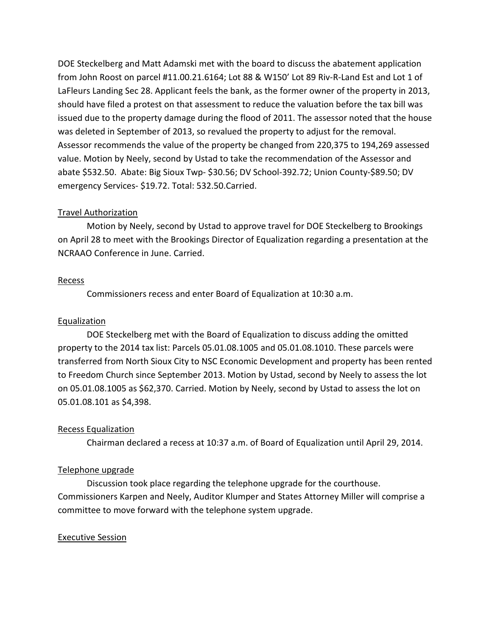DOE Steckelberg and Matt Adamski met with the board to discuss the abatement application from John Roost on parcel #11.00.21.6164; Lot 88 & W150' Lot 89 Riv-R-Land Est and Lot 1 of LaFleurs Landing Sec 28. Applicant feels the bank, as the former owner of the property in 2013, should have filed a protest on that assessment to reduce the valuation before the tax bill was issued due to the property damage during the flood of 2011. The assessor noted that the house was deleted in September of 2013, so revalued the property to adjust for the removal. Assessor recommends the value of the property be changed from 220,375 to 194,269 assessed value. Motion by Neely, second by Ustad to take the recommendation of the Assessor and abate \$532.50. Abate: Big Sioux Twp- \$30.56; DV School-392.72; Union County-\$89.50; DV emergency Services- \$19.72. Total: 532.50.Carried.

## Travel Authorization

 Motion by Neely, second by Ustad to approve travel for DOE Steckelberg to Brookings on April 28 to meet with the Brookings Director of Equalization regarding a presentation at the NCRAAO Conference in June. Carried.

### Recess

Commissioners recess and enter Board of Equalization at 10:30 a.m.

## Equalization

 DOE Steckelberg met with the Board of Equalization to discuss adding the omitted property to the 2014 tax list: Parcels 05.01.08.1005 and 05.01.08.1010. These parcels were transferred from North Sioux City to NSC Economic Development and property has been rented to Freedom Church since September 2013. Motion by Ustad, second by Neely to assess the lot on 05.01.08.1005 as \$62,370. Carried. Motion by Neely, second by Ustad to assess the lot on 05.01.08.101 as \$4,398.

## Recess Equalization

Chairman declared a recess at 10:37 a.m. of Board of Equalization until April 29, 2014.

## Telephone upgrade

 Discussion took place regarding the telephone upgrade for the courthouse. Commissioners Karpen and Neely, Auditor Klumper and States Attorney Miller will comprise a committee to move forward with the telephone system upgrade.

## Executive Session